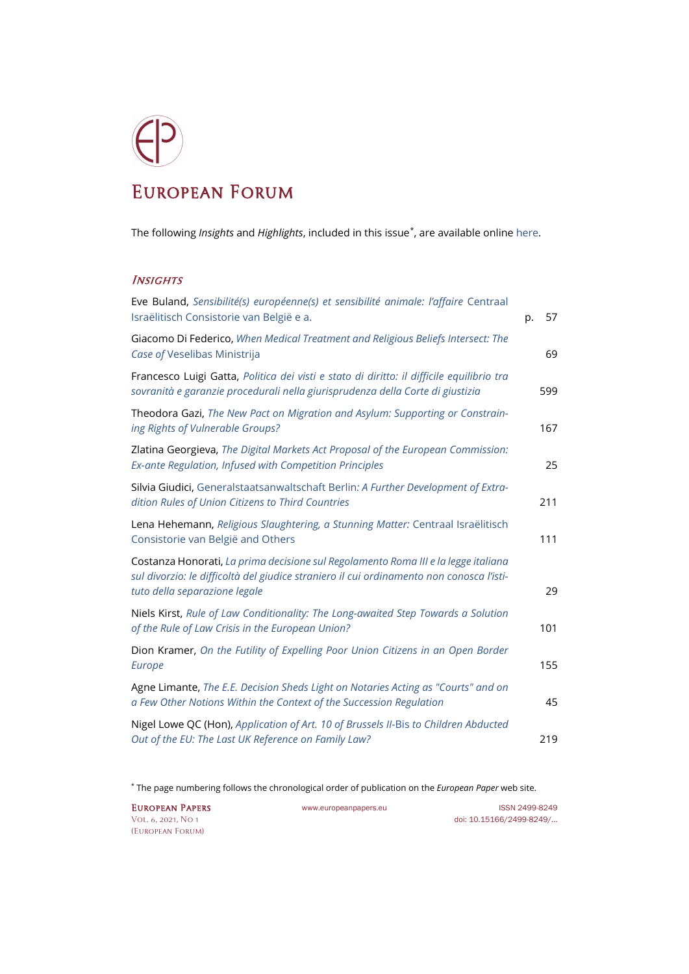## European Forum

The following *Insights* and *Highlights*, included in this issue[\\*](#page-0-0), are available onlin[e here.](https://www.europeanpapers.eu/en/e-journal/EP_eJ_2021_1_European_Forum)

## **INSIGHTS**

| Eve Buland, Sensibilité(s) européenne(s) et sensibilité animale: l'affaire Centraal<br>Israëlitisch Consistorie van België e a.                                                                                 | p. | 57  |
|-----------------------------------------------------------------------------------------------------------------------------------------------------------------------------------------------------------------|----|-----|
| Giacomo Di Federico, When Medical Treatment and Religious Beliefs Intersect: The<br>Case of Veselibas Ministrija                                                                                                |    | 69  |
| Francesco Luigi Gatta, Politica dei visti e stato di diritto: il difficile equilibrio tra<br>sovranità e garanzie procedurali nella giurisprudenza della Corte di giustizia                                     |    | 599 |
| Theodora Gazi, The New Pact on Migration and Asylum: Supporting or Constrain-<br>ing Rights of Vulnerable Groups?                                                                                               |    | 167 |
| Zlatina Georgieva, The Digital Markets Act Proposal of the European Commission:<br>Ex-ante Regulation, Infused with Competition Principles                                                                      |    | 25  |
| Silvia Giudici, Generalstaatsanwaltschaft Berlin: A Further Development of Extra-<br>dition Rules of Union Citizens to Third Countries                                                                          |    | 211 |
| Lena Hehemann, Religious Slaughtering, a Stunning Matter: Centraal Israëlitisch<br>Consistorie van België and Others                                                                                            |    | 111 |
| Costanza Honorati, La prima decisione sul Regolamento Roma III e la legge italiana<br>sul divorzio: le difficoltà del giudice straniero il cui ordinamento non conosca l'isti-<br>tuto della separazione legale |    | 29  |
| Niels Kirst, Rule of Law Conditionality: The Long-awaited Step Towards a Solution<br>of the Rule of Law Crisis in the European Union?                                                                           |    | 101 |
| Dion Kramer, On the Futility of Expelling Poor Union Citizens in an Open Border<br>Europe                                                                                                                       |    | 155 |
| Agne Limante, The E.E. Decision Sheds Light on Notaries Acting as "Courts" and on<br>a Few Other Notions Within the Context of the Succession Regulation                                                        |    | 45  |
| Nigel Lowe QC (Hon), Application of Art. 10 of Brussels II-Bis to Children Abducted<br>Out of the EU: The Last UK Reference on Family Law?                                                                      |    | 219 |

[\(European Forum\)](https://www.europeanpapers.eu/en/e-journal/EP_eJ_2021_1_European_Forum)

<span id="page-0-0"></span><sup>\*</sup> The page numbering follows the chronological order of publication on the *[European Paper](https://www.europeanpapers.eu/)* web site.